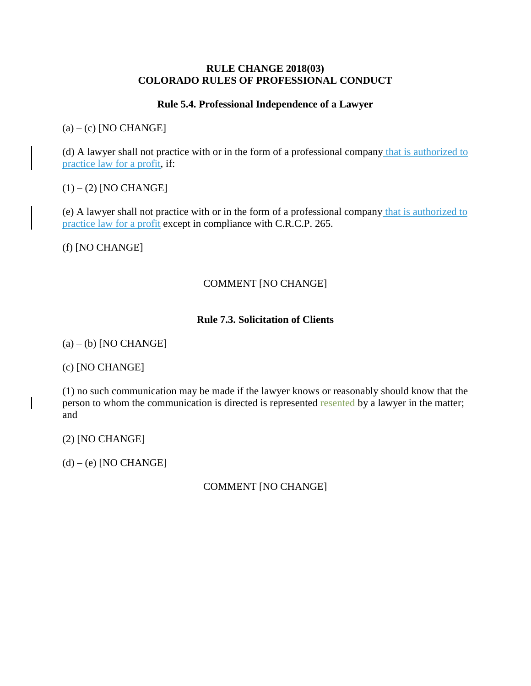#### **RULE CHANGE 2018(03) COLORADO RULES OF PROFESSIONAL CONDUCT**

### **Rule 5.4. Professional Independence of a Lawyer**

 $(a) - (c)$  [NO CHANGE]

(d) A lawyer shall not practice with or in the form of a professional company that is authorized to practice law for a profit, if:

 $(1) - (2)$  [NO CHANGE]

(e) A lawyer shall not practice with or in the form of a professional company that is authorized to practice law for a profit except in compliance with C.R.C.P. 265.

(f) [NO CHANGE]

### COMMENT [NO CHANGE]

### **Rule 7.3. Solicitation of Clients**

 $(a) - (b)$  [NO CHANGE]

(c) [NO CHANGE]

(1) no such communication may be made if the lawyer knows or reasonably should know that the person to whom the communication is directed is represented resented by a lawyer in the matter; and

(2) [NO CHANGE]

 $(d) - (e)$  [NO CHANGE]

# COMMENT [NO CHANGE]